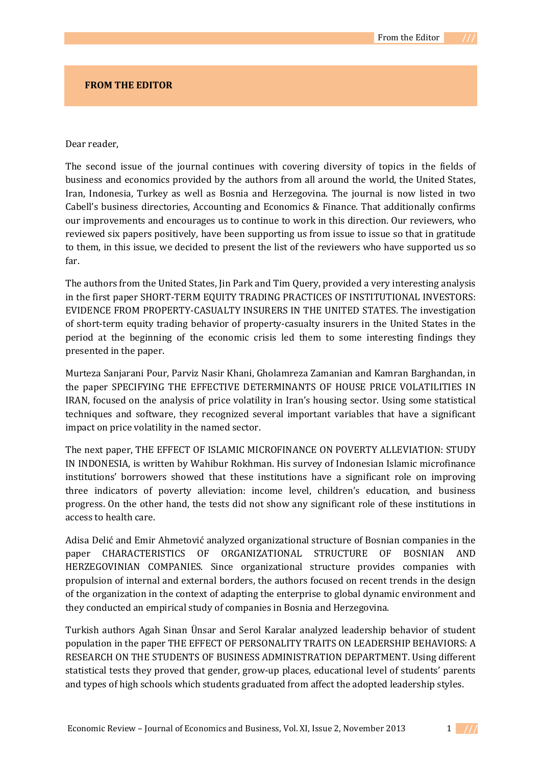## **FROM THE EDITOR**

## Dear reader,

The second issue of the journal continues with covering diversity of topics in the fields of business and economics provided by the authors from all around the world, the United States, Iran, Indonesia, Turkey as well as Bosnia and Herzegovina. The journal is now listed in two Cabell's business directories, Accounting and Economics & Finance. That additionally confirms our improvements and encourages us to continue to work in this direction. Our reviewers, who reviewed six papers positively, have been supporting us from issue to issue so that in gratitude to them, in this issue, we decided to present the list of the reviewers who have supported us so far.

The authors from the United States, Jin Park and Tim Query, provided a very interesting analysis in the first paper SHORT-TERM EQUITY TRADING PRACTICES OF INSTITUTIONAL INVESTORS: EVIDENCE FROM PROPERTY-CASUALTY INSURERS IN THE UNITED STATES. The investigation of short-term equity trading behavior of property-casualty insurers in the United States in the period at the beginning of the economic crisis led them to some interesting findings they presented in the paper.

Murteza Sanjarani Pour, Parviz Nasir Khani, Gholamreza Zamanian and Kamran Barghandan, in the paper SPECIFYING THE EFFECTIVE DETERMINANTS OF HOUSE PRICE VOLATILITIES IN IRAN, focused on the analysis of price volatility in Iran's housing sector. Using some statistical techniques and software, they recognized several important variables that have a significant impact on price volatility in the named sector.

The next paper, THE EFFECT OF ISLAMIC MICROFINANCE ON POVERTY ALLEVIATION: STUDY IN INDONESIA, is written by Wahibur Rokhman. His survey of Indonesian Islamic microfinance institutions' borrowers showed that these institutions have a significant role on improving three indicators of poverty alleviation: income level, children's education, and business progress. On the other hand, the tests did not show any significant role of these institutions in access to health care.

Adisa Delić and Emir Ahmetović analyzed organizational structure of Bosnian companies in the paper CHARACTERISTICS OF ORGANIZATIONAL STRUCTURE OF BOSNIAN AND HERZEGOVINIAN COMPANIES. Since organizational structure provides companies with propulsion of internal and external borders, the authors focused on recent trends in the design of the organization in the context of adapting the enterprise to global dynamic environment and they conducted an empirical study of companies in Bosnia and Herzegovina.

Turkish authors Agah Sinan Ünsar and Serol Karalar analyzed leadership behavior of student population in the paper THE EFFECT OF PERSONALITY TRAITS ON LEADERSHIP BEHAVIORS: A RESEARCH ON THE STUDENTS OF BUSINESS ADMINISTRATION DEPARTMENT. Using different statistical tests they proved that gender, grow-up places, educational level of students' parents and types of high schools which students graduated from affect the adopted leadership styles.